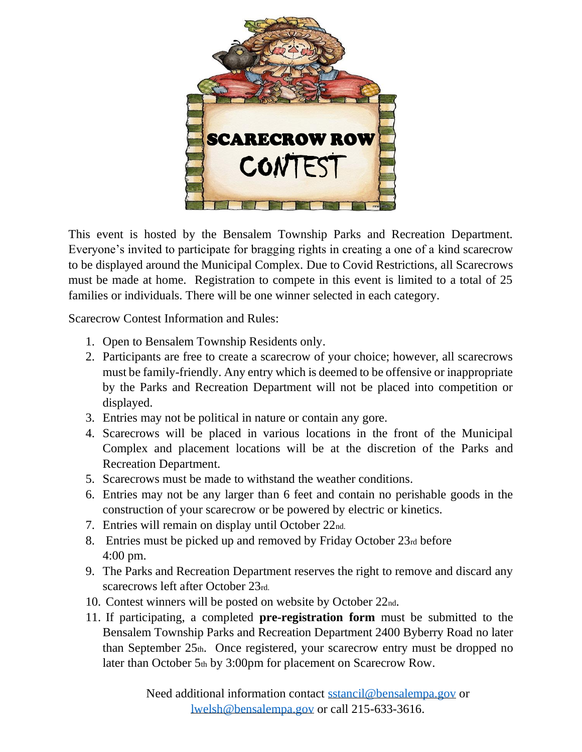

This event is hosted by the Bensalem Township Parks and Recreation Department. Everyone's invited to participate for bragging rights in creating a one of a kind scarecrow to be displayed around the Municipal Complex. Due to Covid Restrictions, all Scarecrows must be made at home. Registration to compete in this event is limited to a total of 25 families or individuals. There will be one winner selected in each category.

Scarecrow Contest Information and Rules:

- 1. Open to Bensalem Township Residents only.
- 2. Participants are free to create a scarecrow of your choice; however, all scarecrows must be family-friendly. Any entry which is deemed to be offensive or inappropriate by the Parks and Recreation Department will not be placed into competition or displayed.
- 3. Entries may not be political in nature or contain any gore.
- 4. Scarecrows will be placed in various locations in the front of the Municipal Complex and placement locations will be at the discretion of the Parks and Recreation Department.
- 5. Scarecrows must be made to withstand the weather conditions.
- 6. Entries may not be any larger than 6 feet and contain no perishable goods in the construction of your scarecrow or be powered by electric or kinetics.
- 7. Entries will remain on display until October 22nd.
- 8. Entries must be picked up and removed by Friday October 23rd before 4:00 pm.
- 9. The Parks and Recreation Department reserves the right to remove and discard any scarecrows left after October 23rd.
- 10. Contest winners will be posted on website by October 22nd.
- 11. If participating, a completed **pre-registration form** must be submitted to the Bensalem Township Parks and Recreation Department 2400 Byberry Road no later than September  $25<sub>th</sub>$ . Once registered, your scarecrow entry must be dropped no later than October 5th by 3:00pm for placement on Scarecrow Row.